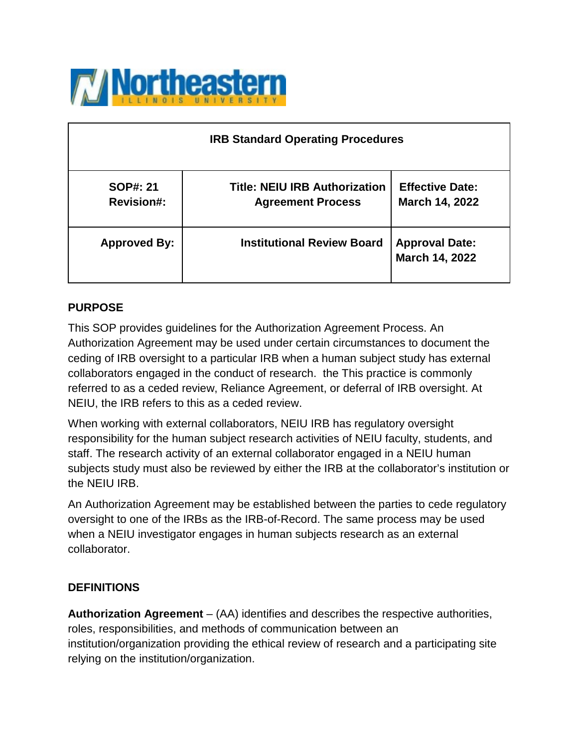

| <b>IRB Standard Operating Procedures</b> |                                                                  |                                          |  |
|------------------------------------------|------------------------------------------------------------------|------------------------------------------|--|
| <b>SOP#: 21</b><br><b>Revision#:</b>     | <b>Title: NEIU IRB Authorization</b><br><b>Agreement Process</b> | <b>Effective Date:</b><br>March 14, 2022 |  |
| <b>Approved By:</b>                      | <b>Institutional Review Board</b>                                | <b>Approval Date:</b><br>March 14, 2022  |  |

## **PURPOSE**

This SOP provides guidelines for the Authorization Agreement Process. An Authorization Agreement may be used under certain circumstances to document the ceding of IRB oversight to a particular IRB when a human subject study has external collaborators engaged in the conduct of research. the This practice is commonly referred to as a ceded review, Reliance Agreement, or deferral of IRB oversight. At NEIU, the IRB refers to this as a ceded review.

When working with external collaborators, NEIU IRB has regulatory oversight responsibility for the human subject research activities of NEIU faculty, students, and staff. The research activity of an external collaborator engaged in a NEIU human subjects study must also be reviewed by either the IRB at the collaborator's institution or the NEIU IRB.

An Authorization Agreement may be established between the parties to cede regulatory oversight to one of the IRBs as the IRB-of-Record. The same process may be used when a NEIU investigator engages in human subjects research as an external collaborator.

### **DEFINITIONS**

**Authorization Agreement** – (AA) identifies and describes the respective authorities, roles, responsibilities, and methods of communication between an institution/organization providing the ethical review of research and a participating site relying on the institution/organization.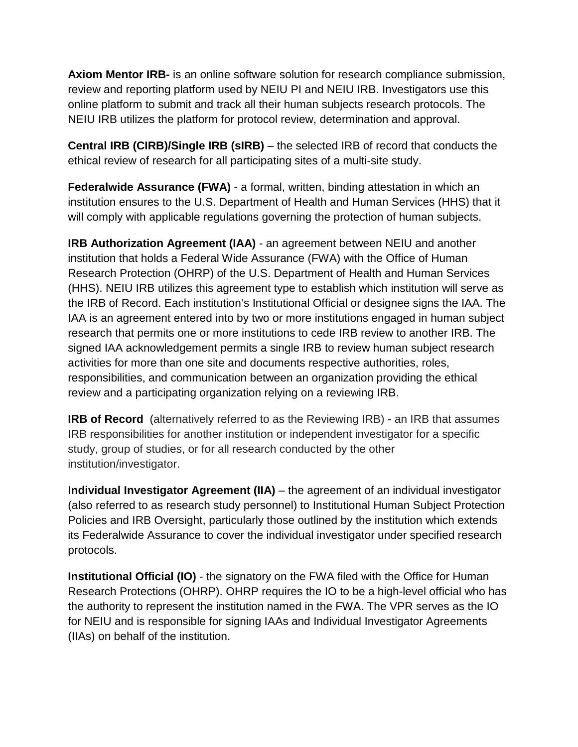**Axiom Mentor IRB-** is an online software solution for research compliance submission, review and reporting platform used by NEIU PI and NEIU IRB. Investigators use this online platform to submit and track all their human subjects research protocols. The NEIU IRB utilizes the platform for protocol review, determination and approval.

**Central IRB (CIRB)/Single IRB (sIRB)** – the selected IRB of record that conducts the ethical review of research for all participating sites of a multi-site study.

**Federalwide Assurance (FWA)** - a formal, written, binding attestation in which an institution ensures to the U.S. Department of Health and Human Services (HHS) that it will comply with applicable regulations governing the protection of human subjects.

**IRB Authorization Agreement (IAA)** - an agreement between NEIU and another institution that holds a Federal Wide Assurance (FWA) with the Office of Human Research Protection (OHRP) of the U.S. Department of Health and Human Services (HHS). NEIU IRB utilizes this agreement type to establish which institution will serve as the IRB of Record. Each institution's Institutional Official or designee signs the IAA. The IAA is an agreement entered into by two or more institutions engaged in human subject research that permits one or more institutions to cede IRB review to another IRB. The signed IAA acknowledgement permits a single IRB to review human subject research activities for more than one site and documents respective authorities, roles, responsibilities, and communication between an organization providing the ethical review and a participating organization relying on a reviewing IRB.

**IRB of Record** (alternatively referred to as the Reviewing IRB) - an IRB that assumes IRB responsibilities for another institution or independent investigator for a specific study, group of studies, or for all research conducted by the other institution/investigator.

I**ndividual Investigator Agreement (IIA)** – the agreement of an individual investigator (also referred to as research study personnel) to Institutional Human Subject Protection Policies and IRB Oversight, particularly those outlined by the institution which extends its Federalwide Assurance to cover the individual investigator under specified research protocols.

**Institutional Official (IO)** - the signatory on the FWA filed with the Office for Human Research Protections (OHRP). OHRP requires the IO to be a high-level official who has the authority to represent the institution named in the FWA. The VPR serves as the IO for NEIU and is responsible for signing IAAs and Individual Investigator Agreements (IIAs) on behalf of the institution.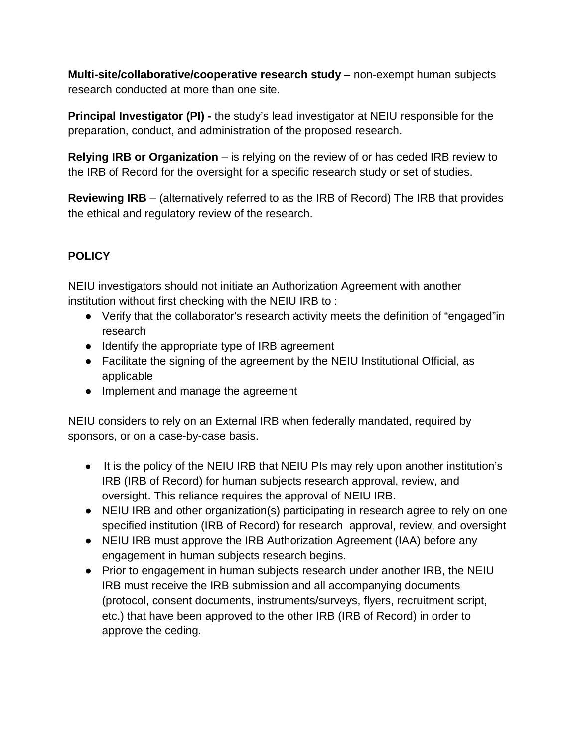**Multi-site/collaborative/cooperative research study** – non-exempt human subjects research conducted at more than one site.

**Principal Investigator (PI) -** the study's lead investigator at NEIU responsible for the preparation, conduct, and administration of the proposed research.

**Relying IRB or Organization** – is relying on the review of or has ceded IRB review to the IRB of Record for the oversight for a specific research study or set of studies.

**Reviewing IRB** – (alternatively referred to as the IRB of Record) The IRB that provides the ethical and regulatory review of the research.

# **POLICY**

NEIU investigators should not initiate an Authorization Agreement with another institution without first checking with the NEIU IRB to :

- Verify that the collaborator's research activity meets the definition of "engaged"in research
- Identify the appropriate type of IRB agreement
- Facilitate the signing of the agreement by the NEIU Institutional Official, as applicable
- Implement and manage the agreement

NEIU considers to rely on an External IRB when federally mandated, required by sponsors, or on a case-by-case basis.

- It is the policy of the NEIU IRB that NEIU PIs may rely upon another institution's IRB (IRB of Record) for human subjects research approval, review, and oversight. This reliance requires the approval of NEIU IRB.
- NEIU IRB and other organization(s) participating in research agree to rely on one specified institution (IRB of Record) for research approval, review, and oversight
- NEIU IRB must approve the IRB Authorization Agreement (IAA) before any engagement in human subjects research begins.
- Prior to engagement in human subjects research under another IRB, the NEIU IRB must receive the IRB submission and all accompanying documents (protocol, consent documents, instruments/surveys, flyers, recruitment script, etc.) that have been approved to the other IRB (IRB of Record) in order to approve the ceding.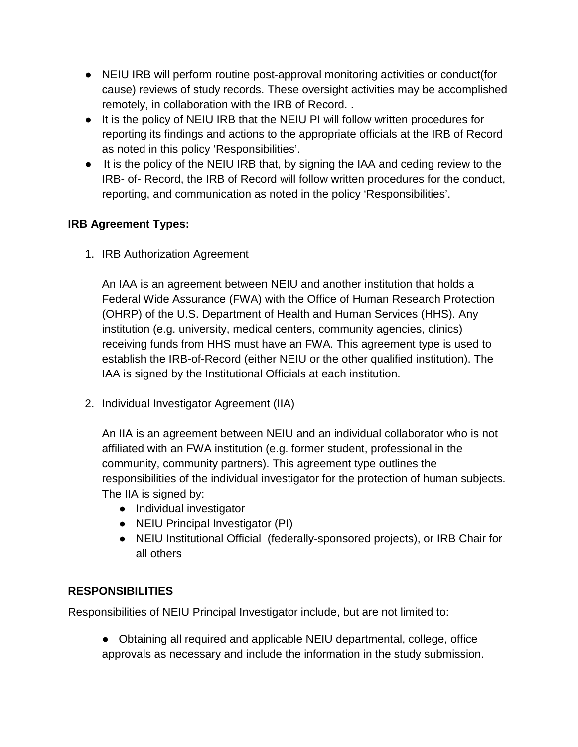- NEIU IRB will perform routine post-approval monitoring activities or conduct(for cause) reviews of study records. These oversight activities may be accomplished remotely, in collaboration with the IRB of Record. .
- It is the policy of NEIU IRB that the NEIU PI will follow written procedures for reporting its findings and actions to the appropriate officials at the IRB of Record as noted in this policy 'Responsibilities'.
- It is the policy of the NEIU IRB that, by signing the IAA and ceding review to the IRB- of- Record, the IRB of Record will follow written procedures for the conduct, reporting, and communication as noted in the policy 'Responsibilities'.

## **IRB Agreement Types:**

1. IRB Authorization Agreement

An IAA is an agreement between NEIU and another institution that holds a Federal Wide Assurance (FWA) with the Office of Human Research Protection (OHRP) of the U.S. Department of Health and Human Services (HHS). Any institution (e.g. university, medical centers, community agencies, clinics) receiving funds from HHS must have an FWA. This agreement type is used to establish the IRB-of-Record (either NEIU or the other qualified institution). The IAA is signed by the Institutional Officials at each institution.

2. Individual Investigator Agreement (IIA)

An IIA is an agreement between NEIU and an individual collaborator who is not affiliated with an FWA institution (e.g. former student, professional in the community, community partners). This agreement type outlines the responsibilities of the individual investigator for the protection of human subjects. The IIA is signed by:

- Individual investigator
- NEIU Principal Investigator (PI)
- NEIU Institutional Official (federally-sponsored projects), or IRB Chair for all others

### **RESPONSIBILITIES**

Responsibilities of NEIU Principal Investigator include, but are not limited to:

● Obtaining all required and applicable NEIU departmental, college, office approvals as necessary and include the information in the study submission.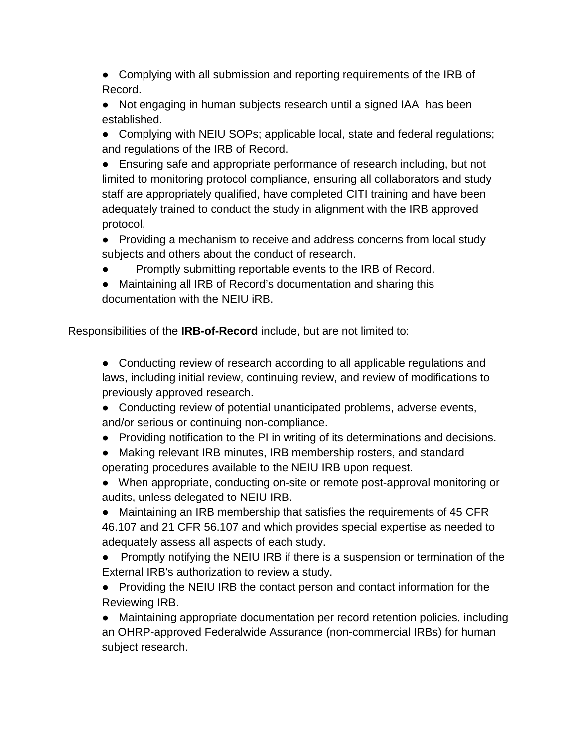• Complying with all submission and reporting requirements of the IRB of Record.

• Not engaging in human subjects research until a signed IAA has been established.

● Complying with NEIU SOPs; applicable local, state and federal regulations; and regulations of the IRB of Record.

• Ensuring safe and appropriate performance of research including, but not limited to monitoring protocol compliance, ensuring all collaborators and study staff are appropriately qualified, have completed CITI training and have been adequately trained to conduct the study in alignment with the IRB approved protocol.

● Providing a mechanism to receive and address concerns from local study subjects and others about the conduct of research.

Promptly submitting reportable events to the IRB of Record.

● Maintaining all IRB of Record's documentation and sharing this documentation with the NEIU iRB.

Responsibilities of the **IRB-of-Record** include, but are not limited to:

● Conducting review of research according to all applicable regulations and laws, including initial review, continuing review, and review of modifications to previously approved research.

• Conducting review of potential unanticipated problems, adverse events, and/or serious or continuing non-compliance.

- Providing notification to the PI in writing of its determinations and decisions.
- Making relevant IRB minutes, IRB membership rosters, and standard operating procedures available to the NEIU IRB upon request.

● When appropriate, conducting on-site or remote post-approval monitoring or audits, unless delegated to NEIU IRB.

• Maintaining an IRB membership that satisfies the requirements of 45 CFR 46.107 and 21 CFR 56.107 and which provides special expertise as needed to adequately assess all aspects of each study.

● Promptly notifying the NEIU IRB if there is a suspension or termination of the External IRB's authorization to review a study.

• Providing the NEIU IRB the contact person and contact information for the Reviewing IRB.

● Maintaining appropriate documentation per record retention policies, including an OHRP-approved Federalwide Assurance (non-commercial IRBs) for human subject research.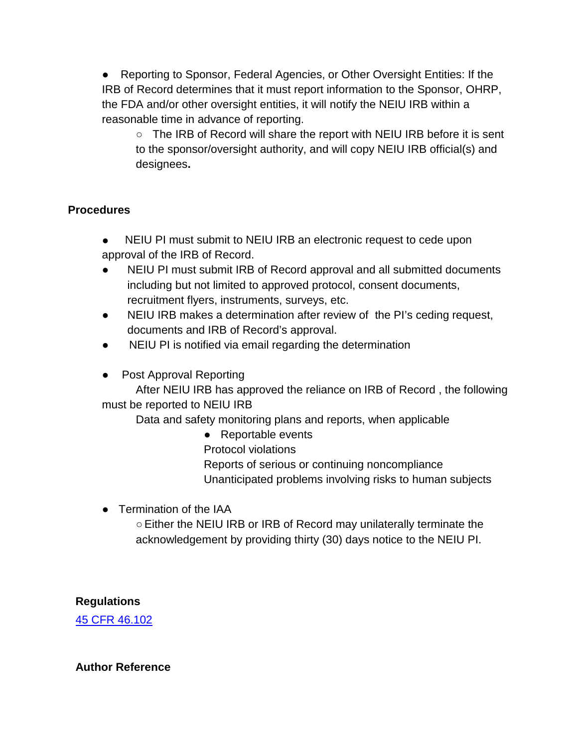● Reporting to Sponsor, Federal Agencies, or Other Oversight Entities: If the IRB of Record determines that it must report information to the Sponsor, OHRP, the FDA and/or other oversight entities, it will notify the NEIU IRB within a reasonable time in advance of reporting.

○ The IRB of Record will share the report with NEIU IRB before it is sent to the sponsor/oversight authority, and will copy NEIU IRB official(s) and designees**.** 

## **Procedures**

- NEIU PI must submit to NEIU IRB an electronic request to cede upon approval of the IRB of Record.
- NEIU PI must submit IRB of Record approval and all submitted documents including but not limited to approved protocol, consent documents, recruitment flyers, instruments, surveys, etc.
- NEIU IRB makes a determination after review of the PI's ceding request, documents and IRB of Record's approval.
- NEIU PI is notified via email regarding the determination
- Post Approval Reporting

After NEIU IRB has approved the reliance on IRB of Record , the following must be reported to NEIU IRB

Data and safety monitoring plans and reports, when applicable

● Reportable events

Protocol violations

Reports of serious or continuing noncompliance

Unanticipated problems involving risks to human subjects

• Termination of the IAA

○Either the NEIU IRB or IRB of Record may unilaterally terminate the acknowledgement by providing thirty (30) days notice to the NEIU PI.

## **Regulations**

[45 CFR 46.102](https://www.ecfr.gov/cgi-bin/retrieveECFR?gp&SID=83cd09e1c0f5c6937cd9d7513160fc3f&pitd=20180719&n=pt45.1.46&r=PART&ty=HTML&se45.1.46_1102)

### **Author Reference**